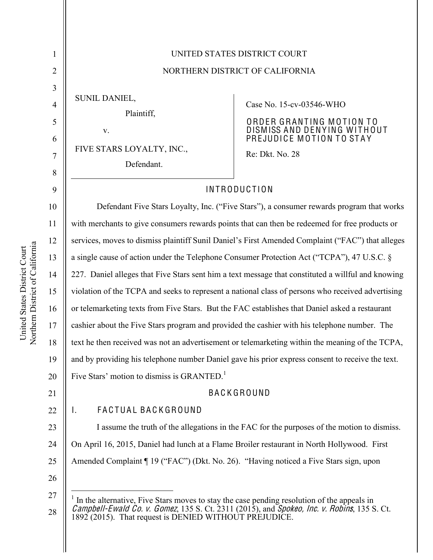| 1                                  | UNITED STATES DISTRICT COURT                                                                       |                                                                                                                                    |  |
|------------------------------------|----------------------------------------------------------------------------------------------------|------------------------------------------------------------------------------------------------------------------------------------|--|
| $\overline{2}$                     | NORTHERN DISTRICT OF CALIFORNIA                                                                    |                                                                                                                                    |  |
| 3<br>$\overline{4}$<br>5<br>6<br>7 | <b>SUNIL DANIEL,</b><br>Plaintiff,<br>V.<br>FIVE STARS LOYALTY, INC.,<br>Defendant.                | Case No. 15-cv-03546-WHO<br>ORDER GRANTING MOTION TO<br>DISMISS AND DENYING WITHOUT<br>PREJUDICE MOTION TO STAY<br>Re: Dkt. No. 28 |  |
| 8                                  |                                                                                                    |                                                                                                                                    |  |
| 9                                  | <b>INTRODUCTION</b>                                                                                |                                                                                                                                    |  |
| 10                                 | Defendant Five Stars Loyalty, Inc. ("Five Stars"), a consumer rewards program that works           |                                                                                                                                    |  |
| 11                                 | with merchants to give consumers rewards points that can then be redeemed for free products or     |                                                                                                                                    |  |
| 12                                 | services, moves to dismiss plaintiff Sunil Daniel's First Amended Complaint ("FAC") that alleges   |                                                                                                                                    |  |
| 13                                 | a single cause of action under the Telephone Consumer Protection Act ("TCPA"), 47 U.S.C. §         |                                                                                                                                    |  |
| 14                                 | 227. Daniel alleges that Five Stars sent him a text message that constituted a willful and knowing |                                                                                                                                    |  |
| 15                                 | violation of the TCPA and seeks to represent a national class of persons who received advertising  |                                                                                                                                    |  |
| 16                                 | or telemarketing texts from Five Stars. But the FAC establishes that Daniel asked a restaurant     |                                                                                                                                    |  |
| 17                                 | cashier about the Five Stars program and provided the cashier with his telephone number. The       |                                                                                                                                    |  |
| 18                                 | text he then received was not an advertisement or telemarketing within the meaning of the TCPA,    |                                                                                                                                    |  |
| 19                                 | and by providing his telephone number Daniel gave his prior express consent to receive the text.   |                                                                                                                                    |  |
| 20                                 | Five Stars' motion to dismiss is GRANTED. <sup>1</sup>                                             |                                                                                                                                    |  |
| 21                                 | <b>BACKGROUND</b>                                                                                  |                                                                                                                                    |  |
| 22                                 | FACTUAL BACKGROUND<br>I.                                                                           |                                                                                                                                    |  |
| 23                                 | I assume the truth of the allegations in the FAC for the purposes of the motion to dismiss.        |                                                                                                                                    |  |
| 24                                 | On April 16, 2015, Daniel had lunch at a Flame Broiler restaurant in North Hollywood. First        |                                                                                                                                    |  |
| 25                                 | Amended Complaint ¶ 19 ("FAC") (Dkt. No. 26). "Having noticed a Five Stars sign, upon              |                                                                                                                                    |  |
| 26                                 |                                                                                                    |                                                                                                                                    |  |
| 27                                 | In the alternative, Five Stars moves to stay the case pending resolution of the appeals in         |                                                                                                                                    |  |

<sup>28</sup> Campbell-Ewald Co. v. Gomez, 135 S. Ct.  $2311$  (2015), and Spokeo, Inc. v. Robins, 135 S. Ct. 1892 (2015). That request is DENIED WITHOUT PREJUDICE.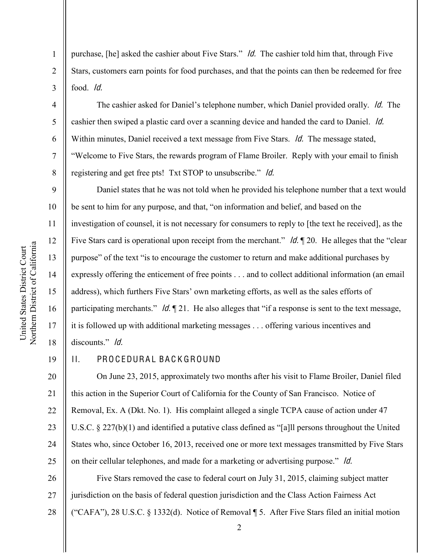purchase, [he] asked the cashier about Five Stars."  $\overline{Id}$ . The cashier told him that, through Five Stars, customers earn points for food purchases, and that the points can then be redeemed for free food. Id.

The cashier asked for Daniel's telephone number, which Daniel provided orally. *Id.* The cashier then swiped a plastic card over a scanning device and handed the card to Daniel. Id. Within minutes, Daniel received a text message from Five Stars. *Id.* The message stated, ³Welcome to Five Stars, the rewards program of Flame Broiler. Reply with your email to finish registering and get free pts! Txt STOP to unsubscribe." *ld.* 

Daniel states that he was not told when he provided his telephone number that a text would be sent to him for any purpose, and that, "on information and belief, and based on the investigation of counsel, it is not necessary for consumers to reply to [the text he received], as the Five Stars card is operational upon receipt from the merchant."  $\mathcal{U}$ .  $\mathcal{U}$ . He alleges that the "clear" purpose" of the text "is to encourage the customer to return and make additional purchases by expressly offering the enticement of free points . . . and to collect additional information (an email address), which furthers Five Stars' own marketing efforts, as well as the sales efforts of participating merchants."  $\mathcal{U}$ .  $\P$  21. He also alleges that "if a response is sent to the text message, it is followed up with additional marketing messages . . . offering various incentives and discounts." *ld.* 

## II. PROCEDURAL BACKGROUND

20 21 22 23 24 25 On June 23, 2015, approximately two months after his visit to Flame Broiler, Daniel filed this action in the Superior Court of California for the County of San Francisco. Notice of Removal, Ex. A (Dkt. No. 1). His complaint alleged a single TCPA cause of action under 47 U.S.C. § 227(b)(1) and identified a putative class defined as "[a]ll persons throughout the United States who, since October 16, 2013, received one or more text messages transmitted by Five Stars on their cellular telephones, and made for a marketing or advertising purpose." *Id.* 

26 27 28 Five Stars removed the case to federal court on July 31, 2015, claiming subject matter jurisdiction on the basis of federal question jurisdiction and the Class Action Fairness Act ("CAFA"), 28 U.S.C. § 1332(d). Notice of Removal ¶ 5. After Five Stars filed an initial motion

1

2

3

4

5

6

7

8

9

10

11

12

13

14

15

16

17

18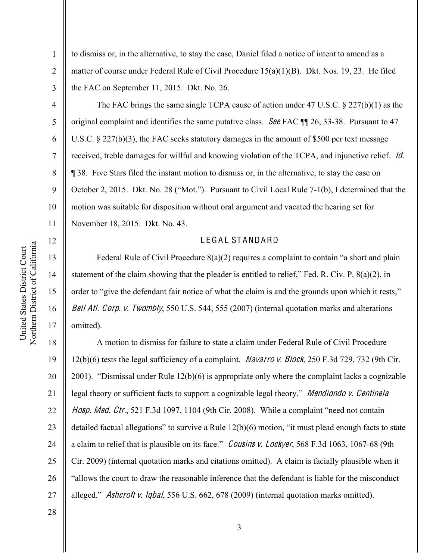12

13

14

15

16

17

1

2

3

to dismiss or, in the alternative, to stay the case, Daniel filed a notice of intent to amend as a matter of course under Federal Rule of Civil Procedure 15(a)(1)(B). Dkt. Nos. 19, 23. He filed the FAC on September 11, 2015. Dkt. No. 26.

4 5 6 7 8 9 10 11 The FAC brings the same single TCPA cause of action under 47 U.S.C. § 227(b)(1) as the original complaint and identifies the same putative class. See FAC  $\P$  26, 33-38. Pursuant to 47 U.S.C. § 227(b)(3), the FAC seeks statutory damages in the amount of \$500 per text message received, treble damages for willful and knowing violation of the TCPA, and injunctive relief. Id. ¶ 38. Five Stars filed the instant motion to dismiss or, in the alternative, to stay the case on October 2, 2015. Dkt. No. 28 ("Mot."). Pursuant to Civil Local Rule 7-1(b), I determined that the motion was suitable for disposition without oral argument and vacated the hearing set for November 18, 2015. Dkt. No. 43.

#### LEGAL STANDARD

Federal Rule of Civil Procedure  $8(a)(2)$  requires a complaint to contain "a short and plain statement of the claim showing that the pleader is entitled to relief," Fed. R. Civ. P.  $8(a)(2)$ , in order to "give the defendant fair notice of what the claim is and the grounds upon which it rests," Bell Atl. Corp. v. Twombly, 550 U.S. 544, 555 (2007) (internal quotation marks and alterations omitted).

18 19 20 21 22 23 24 25 26 27 A motion to dismiss for failure to state a claim under Federal Rule of Civil Procedure 12(b)(6) tests the legal sufficiency of a complaint. Navarro <sup>v</sup>. Block, 250 F.3d 729, 732 (9th Cir. 2001). "Dismissal under Rule  $12(b)(6)$  is appropriate only where the complaint lacks a cognizable legal theory or sufficient facts to support a cognizable legal theory." *Mendiondo v. Centinela* Hosp. Med. Ctr., 521 F.3d 1097, 1104 (9th Cir. 2008). While a complaint "need not contain detailed factual allegations" to survive a Rule  $12(b)(6)$  motion, "it must plead enough facts to state a claim to relief that is plausible on its face." Cousins v. Lockyer, 568 F.3d 1063, 1067-68 (9th Cir. 2009) (internal quotation marks and citations omitted). A claim is facially plausible when it "allows the court to draw the reasonable inference that the defendant is liable for the misconduct alleged." Ashcroft v. Iqbal, 556 U.S. 662, 678 (2009) (internal quotation marks omitted).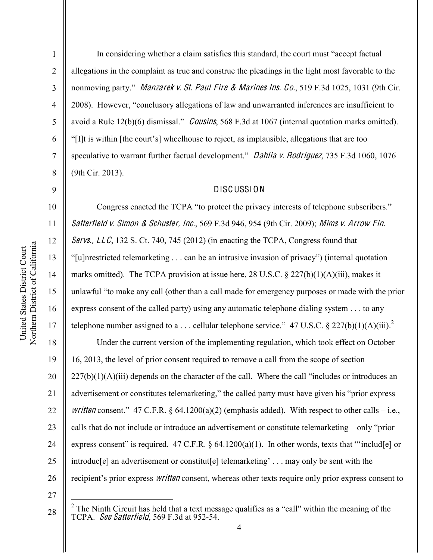1

2

3

4

5

6

7

8

9

10

11

12

13

14

15

16

17

In considering whether a claim satisfies this standard, the court must "accept factual allegations in the complaint as true and construe the pleadings in the light most favorable to the nonmoving party." Manzarek v. St. Paul Fire & Marines Ins. Co., 519 F.3d 1025, 1031 (9th Cir. 2008). However, "conclusory allegations of law and unwarranted inferences are insufficient to avoid a Rule  $12(b)(6)$  dismissal." *Cousins*, 568 F.3d at 1067 (internal quotation marks omitted). "[I]t is within [the court's] wheelhouse to reject, as implausible, allegations that are too speculative to warrant further factual development." Dahlia v. Rodriguez, 735 F.3d 1060, 1076 (9th Cir. 2013).

### DISCUSSION

Congress enacted the TCPA "to protect the privacy interests of telephone subscribers." Satterfield v. Simon & Schuster, Inc., 569 F.3d 946, 954 (9th Cir. 2009); Mims v. Arrow Fin. Servs.,  $LLC$ , 132 S. Ct. 740, 745 (2012) (in enacting the TCPA, Congress found that "[u]nrestricted telemarketing  $\ldots$  can be an intrusive invasion of privacy") (internal quotation marks omitted). The TCPA provision at issue here, 28 U.S.C. § 227(b)(1)(A)(iii), makes it unlawful "to make any call (other than a call made for emergency purposes or made with the prior express consent of the called party) using any automatic telephone dialing system . . . to any telephone number assigned to a ... cellular telephone service." 47 U.S.C. § 227(b)(1)(A)(iii).<sup>2</sup>

18 19 20 21 22 23 24 25 26 Under the current version of the implementing regulation, which took effect on October 16, 2013, the level of prior consent required to remove a call from the scope of section  $227(b)(1)(A)(iii)$  depends on the character of the call. Where the call "includes or introduces an advertisement or constitutes telemarketing," the called party must have given his "prior express" written consent." 47 C.F.R. § 64.1200(a)(2) (emphasis added). With respect to other calls – i.e., calls that do not include or introduce an advertisement or constitute telemarketing  $-\text{ only "prior}$ express consent" is required. 47 C.F.R.  $\S$  64.1200(a)(1). In other words, texts that "includ[e] or introduc[e] an advertisement or constitut[e] telemarketing'... may only be sent with the recipient's prior express *written* consent, whereas other texts require only prior express consent to

27

<sup>&</sup>lt;sup>2</sup> The Ninth Circuit has held that a text message qualifies as a "call" within the meaning of the TCPA. See Satterfield, 569 F.3d at 952-54.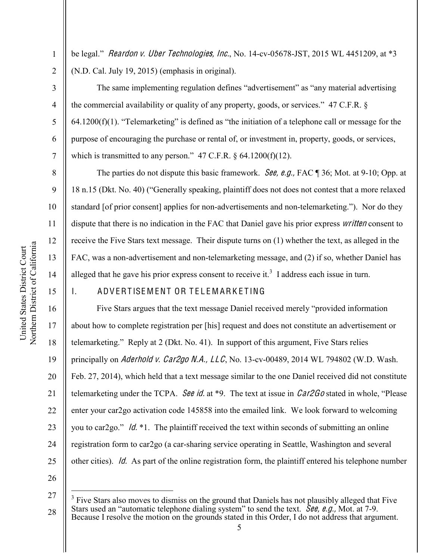1

2

3

4

5

6

7

8

9

10

11

12

13

14

15

be legal." Reardon v. Uber Technologies, Inc., No.  $14$ -cv-05678-JST, 2015 WL 4451209, at \*3 (N.D. Cal. July 19, 2015) (emphasis in original).

The same implementing regulation defines "advertisement" as "any material advertising the commercial availability or quality of any property, goods, or services."  $47$  C.F.R. §  $64.1200(f)(1)$ . "Telemarketing" is defined as "the initiation of a telephone call or message for the purpose of encouraging the purchase or rental of, or investment in, property, goods, or services, which is transmitted to any person."  $47$  C.F.R.  $\S$  64.1200(f)(12).

The parties do not dispute this basic framework. *See, e.g.*, FAC ¶ 36; Mot. at 9-10; Opp. at 18 n.15 (Dkt. No. 40) ("Generally speaking, plaintiff does not does not contest that a more relaxed standard [of prior consent] applies for non-advertisements and non-telemarketing."). Nor do they dispute that there is no indication in the FAC that Daniel gave his prior express *written* consent to receive the Five Stars text message. Their dispute turns on (1) whether the text, as alleged in the FAC, was a non-advertisement and non-telemarketing message, and (2) if so, whether Daniel has alleged that he gave his prior express consent to receive it.<sup>3</sup> I address each issue in turn.

## I. ADVERTISEMENT OR TELEMARKETING

16 17 18 19 20 21 22 23 24 25 Five Stars argues that the text message Daniel received merely "provided information about how to complete registration per [his] request and does not constitute an advertisement or telemarketing." Reply at  $2$  (Dkt. No. 41). In support of this argument, Five Stars relies principally on Aderhold v. Car2go N.A.,  $LLC$ , No. 13-cv-00489, 2014 WL 794802 (W.D. Wash. Feb. 27, 2014), which held that a text message similar to the one Daniel received did not constitute telemarketing under the TCPA. See id. at \*9. The text at issue in  $\textit{Car2Go}$  stated in whole, "Please enter your car2go activation code 145858 into the emailed link. We look forward to welcoming you to car2go."  $\ln \frac{1}{\pi}$ . The plaintiff received the text within seconds of submitting an online registration form to car2go (a car-sharing service operating in Seattle, Washington and several other cities). Id. As part of the online registration form, the plaintiff entered his telephone number

<sup>27</sup> 28 Five Stars also moves to dismiss on the ground that Daniels has not plausibly alleged that Five Stars used an "automatic telephone dialing system" to send the text. See, e.g., Mot. at 7-9. Because I resolve the motion on the grounds stated in this Order, I do not address that argument.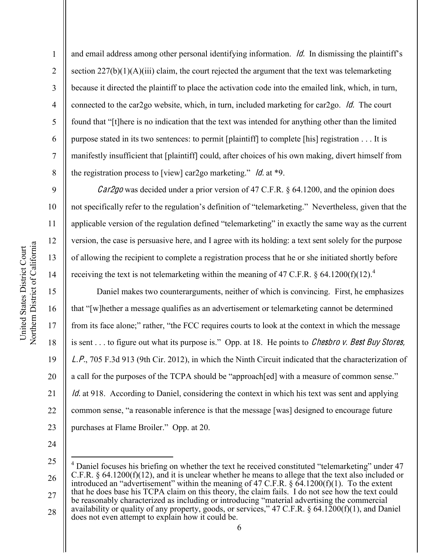and email address among other personal identifying information.  $\overline{Id}$ . In dismissing the plaintiff's section  $227(b)(1)(A)(iii)$  claim, the court rejected the argument that the text was telemarketing because it directed the plaintiff to place the activation code into the emailed link, which, in turn, connected to the car2go website, which, in turn, included marketing for car2go. Id. The court found that "[t] here is no indication that the text was intended for anything other than the limited purpose stated in its two sentences: to permit [plaintiff] to complete [his] registration . . . It is manifestly insufficient that [plaintiff] could, after choices of his own making, divert himself from the registration process to [view] car2go marketing." *ld.* at \*9.

Car2go was decided under a prior version of 47 C.F.R. § 64.1200, and the opinion does not specifically refer to the regulation's definition of "telemarketing." Nevertheless, given that the applicable version of the regulation defined "telemarketing" in exactly the same way as the current version, the case is persuasive here, and I agree with its holding: a text sent solely for the purpose of allowing the recipient to complete a registration process that he or she initiated shortly before receiving the text is not telemarketing within the meaning of 47 C.F.R.  $\S$  64.1200(f)(12).<sup>4</sup>

Daniel makes two counterarguments, neither of which is convincing. First, he emphasizes that "[w]hether a message qualifies as an advertisement or telemarketing cannot be determined from its face alone;" rather, "the FCC requires courts to look at the context in which the message is sent . . . to figure out what its purpose is." Opp. at 18. He points to *Chesbro v. Best Buy Stores*, L.P., 705 F.3d 913 (9th Cir. 2012), in which the Ninth Circuit indicated that the characterization of a call for the purposes of the TCPA should be "approach [ed] with a measure of common sense."  $Id$  at 918. According to Daniel, considering the context in which his text was sent and applying common sense, "a reasonable inference is that the message [was] designed to encourage future purchases at Flame Broiler." Opp. at 20.

24

1

2

3

4

5

6

7

8

9

10

11

12

13

14

15

16

17

18

19

20

21

22

23

<sup>25</sup> 26 27 28 Daniel focuses his briefing on whether the text he received constituted "telemarketing" under 47 C.F.R. § 64.1200(f)(12), and it is unclear whether he means to allege that the text also included or introduced an "advertisement" within the meaning of 47 C.F.R.  $\S$  64.1200(f)(1). To the extent that he does base his TCPA claim on this theory, the claim fails. I do not see how the text could be reasonably characterized as including or introducing "material advertising the commercial availability or quality of any property, goods, or services," 47 C.F.R. § 64.1200(f)(1), and Daniel does not even attempt to explain how it could be.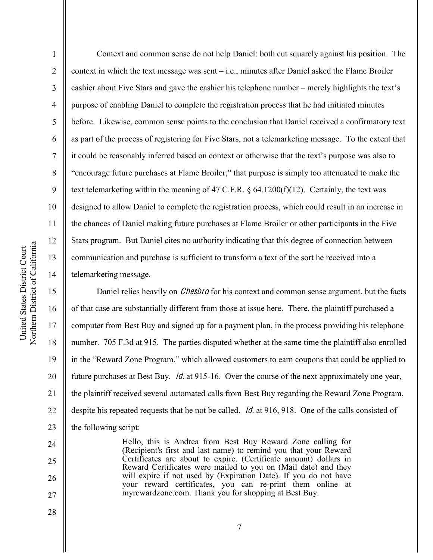1

2

3

4

5

6

8

11

12

13

15

16

17

18

19

20

21

22

23

24

25

26

27

7 9 10 14 Context and common sense do not help Daniel: both cut squarely against his position. The context in which the text message was sent  $-$  i.e., minutes after Daniel asked the Flame Broiler cashier about Five Stars and gave the cashier his telephone number  $-$  merely highlights the text's purpose of enabling Daniel to complete the registration process that he had initiated minutes before. Likewise, common sense points to the conclusion that Daniel received a confirmatory text as part of the process of registering for Five Stars, not a telemarketing message. To the extent that It could be reasonably inferred based on context or otherwise that the text's purpose was also to ³encourage future purchases at Flame Broiler,´that purpose is simply too attenuated to make the text telemarketing within the meaning of 47 C.F.R. § 64.1200(f)(12). Certainly, the text was designed to allow Daniel to complete the registration process, which could result in an increase in the chances of Daniel making future purchases at Flame Broiler or other participants in the Five Stars program. But Daniel cites no authority indicating that this degree of connection between communication and purchase is sufficient to transform a text of the sort he received into a telemarketing message.

Daniel relies heavily on *Chesbro* for his context and common sense argument, but the facts of that case are substantially different from those at issue here. There, the plaintiff purchased a computer from Best Buy and signed up for a payment plan, in the process providing his telephone number. 705 F.3d at 915. The parties disputed whether at the same time the plaintiff also enrolled in the "Reward Zone Program," which allowed customers to earn coupons that could be applied to future purchases at Best Buy. Id. at 915-16. Over the course of the next approximately one year, the plaintiff received several automated calls from Best Buy regarding the Reward Zone Program, despite his repeated requests that he not be called. *Id.* at 916, 918. One of the calls consisted of the following script:

> Hello, this is Andrea from Best Buy Reward Zone calling for (Recipient's first and last name) to remind you that your Reward Certificates are about to expire. (Certificate amount) dollars in Reward Certificates were mailed to you on (Mail date) and they will expire if not used by (Expiration Date). If you do not have your reward certificates, you can re-print them online at myrewardzone.com. Thank you for shopping at Best Buy.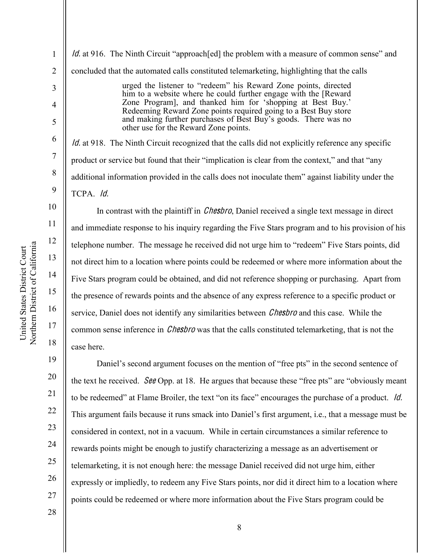4

5

6

7

8

9

18

19

20

21

22

23

24

25

26

27

1 2 3 *Id.* at 916. The Ninth Circuit "approach [ed] the problem with a measure of common sense" and concluded that the automated calls constituted telemarketing, highlighting that the calls urged the listener to "redeem" his Reward Zone points, directed

him to a website where he could further engage with the [Reward Zone Program], and thanked him for 'shopping at Best Buy.' Redeeming Reward Zone points required going to a Best Buy store and making further purchases of Best Buy's goods. There was no other use for the Reward Zone points.

 $Id$ . at 918. The Ninth Circuit recognized that the calls did not explicitly reference any specific product or service but found that their "implication is clear from the context," and that "any additional information provided in the calls does not inoculate them<sup>"</sup> against liability under the TCPA. Id.

In contrast with the plaintiff in *Chesbro*, Daniel received a single text message in direct and immediate response to his inquiry regarding the Five Stars program and to his provision of his telephone number. The message he received did not urge him to "redeem" Five Stars points, did not direct him to a location where points could be redeemed or where more information about the Five Stars program could be obtained, and did not reference shopping or purchasing. Apart from the presence of rewards points and the absence of any express reference to a specific product or service, Daniel does not identify any similarities between *Chesbro* and this case. While the common sense inference in *Chesbro* was that the calls constituted telemarketing, that is not the case here.

Daniel's second argument focuses on the mention of "free pts" in the second sentence of the text he received. See Opp. at 18. He argues that because these "free pts" are "obviously meant" to be redeemed" at Flame Broiler, the text "on its face" encourages the purchase of a product. *Id.* This argument fails because it runs smack into Daniel's first argument, i.e., that a message must be considered in context, not in a vacuum. While in certain circumstances a similar reference to rewards points might be enough to justify characterizing a message as an advertisement or telemarketing, it is not enough here: the message Daniel received did not urge him, either expressly or impliedly, to redeem any Five Stars points, nor did it direct him to a location where points could be redeemed or where more information about the Five Stars program could be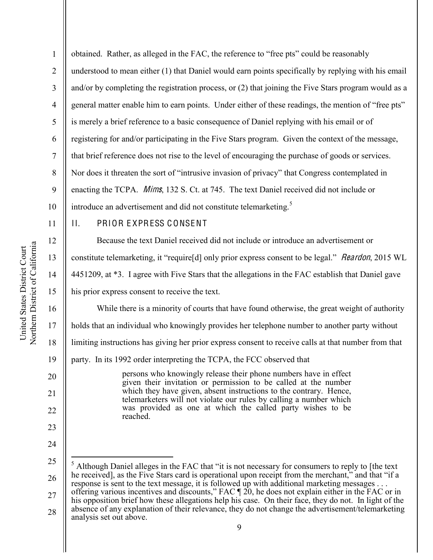20

21

22

23

24

1 2 3 4 5 obtained. Rather, as alleged in the FAC, the reference to "free pts" could be reasonably understood to mean either (1) that Daniel would earn points specifically by replying with his email and/or by completing the registration process, or (2) that joining the Five Stars program would as a general matter enable him to earn points. Under either of these readings, the mention of "free pts" is merely a brief reference to a basic consequence of Daniel replying with his email or of registering for and/or participating in the Five Stars program. Given the context of the message, that brief reference does not rise to the level of encouraging the purchase of goods or services. Nor does it threaten the sort of "intrusive invasion of privacy" that Congress contemplated in enacting the TCPA. Mims, 132 S. Ct. at 745. The text Daniel received did not include or introduce an advertisement and did not constitute telemarketing.<sup>5</sup>

# II. PRIOR E XPRESS C ONSENT

Because the text Daniel received did not include or introduce an advertisement or constitute telemarketing, it "requirestly only prior express consent to be legal." *Reardon*, 2015 WL 4451209, at \*3. I agree with Five Stars that the allegations in the FAC establish that Daniel gave his prior express consent to receive the text.

While there is a minority of courts that have found otherwise, the great weight of authority

holds that an individual who knowingly provides her telephone number to another party without

18 limiting instructions has giving her prior express consent to receive calls at that number from that

19 party. In its 1992 order interpreting the TCPA, the FCC observed that

> persons who knowingly release their phone numbers have in effect given their invitation or permission to be called at the number which they have given, absent instructions to the contrary. Hence, telemarketers will not violate our rules by calling a number which was provided as one at which the called party wishes to be reached.

<sup>25</sup> 26 Although Daniel alleges in the FAC that "it is not necessary for consumers to reply to [the text he received], as the Five Stars card is operational upon receipt from the merchant," and that "if a response is sent to the text message, it is followed up with additional marketing messages . . .

<sup>27</sup> offering various incentives and discounts," FAC  $\P$  20, he does not explain either in the FAC or in his opposition brief how these allegations help his case. On their face, they do not. In light of the

<sup>28</sup> absence of any explanation of their relevance, they do not change the advertisement/telemarketing analysis set out above.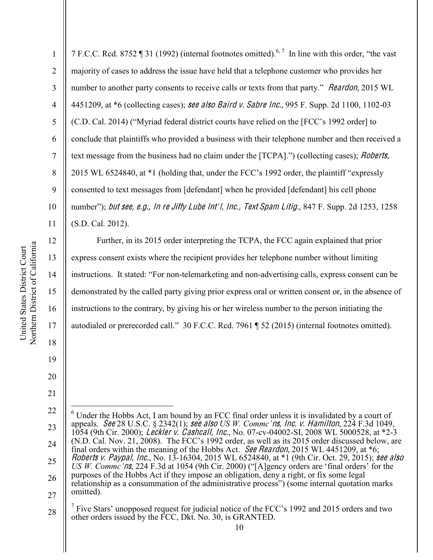12

13

14

15

16

17

18

19

20

21

1 2 3 4 5 6 7 8 9 10 11 7 F.C.C. Rcd. 8752 ¶ 31 (1992) (internal footnotes omitted).<sup>6,7</sup> In line with this order, "the vast" majority of cases to address the issue have held that a telephone customer who provides her number to another party consents to receive calls or texts from that party." *Reardon*, 2015 WL 4451209, at \*6 (collecting cases); see also Baird v. Sabre Inc., 995 F. Supp. 2d 1100, 1102-03  $(C.D. Cal. 2014)$  ("Myriad federal district courts have relied on the [FCC's 1992 order] to conclude that plaintiffs who provided a business with their telephone number and then received a text message from the business had no claim under the  $[TCPA]$ .") (collecting cases); *Roberts*, 2015 WL 6524840, at  $*1$  (holding that, under the FCC's 1992 order, the plaintiff "expressly consented to text messages from [defendant] when he provided [defendant] his cell phone number"); but see, e.g., In re Jiffy Lube Int'l, Inc., Text Spam Litig., 847 F. Supp. 2d 1253, 1258 (S.D. Cal. 2012).

Further, in its 2015 order interpreting the TCPA, the FCC again explained that prior express consent exists where the recipient provides her telephone number without limiting instructions. It stated: "For non-telemarketing and non-advertising calls, express consent can be demonstrated by the called party giving prior express oral or written consent or, in the absence of instructions to the contrary, by giving his or her wireless number to the person initiating the autodialed or prerecorded call." 30 F.C.C. Rcd. 7961 ¶ 52 (2015) (internal footnotes omitted).

<sup>22</sup> 23 24 25 26 27 6 Under the Hobbs Act, I am bound by an FCC final order unless it is invalidated by a court of appeals. See 28 U.S.C. § 2342(1); see also *US W. Commc'ns, Inc. v. Hamilton*, 224 F.3d 1049, 1054 (9th Cir. 2000); Leckle<sup>r</sup> <sup>v</sup>. Cashcall, Inc., No. 07-cv-04002-SI, 2008 WL 5000528, at \*2-3 (N.D. Cal. Nov. 21, 2008). The FCC's 1992 order, as well as its 2015 order discussed below, are final orders within the meaning of the Hobbs Act. See Reardon, 2015 WL 4451209, at \*6; Roberts <sup>v</sup>. Paypal, Inc., No. 13-16304, 2015 WL 6524840, at \*1 (9th Cir. Oct. 29, 2015); <sup>s</sup>ee als<sup>o</sup> *US W. Commc'ns*, 224 F.3d at 1054 (9th Cir. 2000) ("[A]gency orders are 'final orders' for the purposes of the Hobbs Act if they impose an obligation, deny a right, or fix some legal relationship as a consummation of the administrative process") (some internal quotation marks omitted).

<sup>28</sup> <sup>7</sup> Five Stars' unopposed request for judicial notice of the FCC's 1992 and 2015 orders and two other orders issued by the FCC, Dkt. No. 30, is GRANTED.